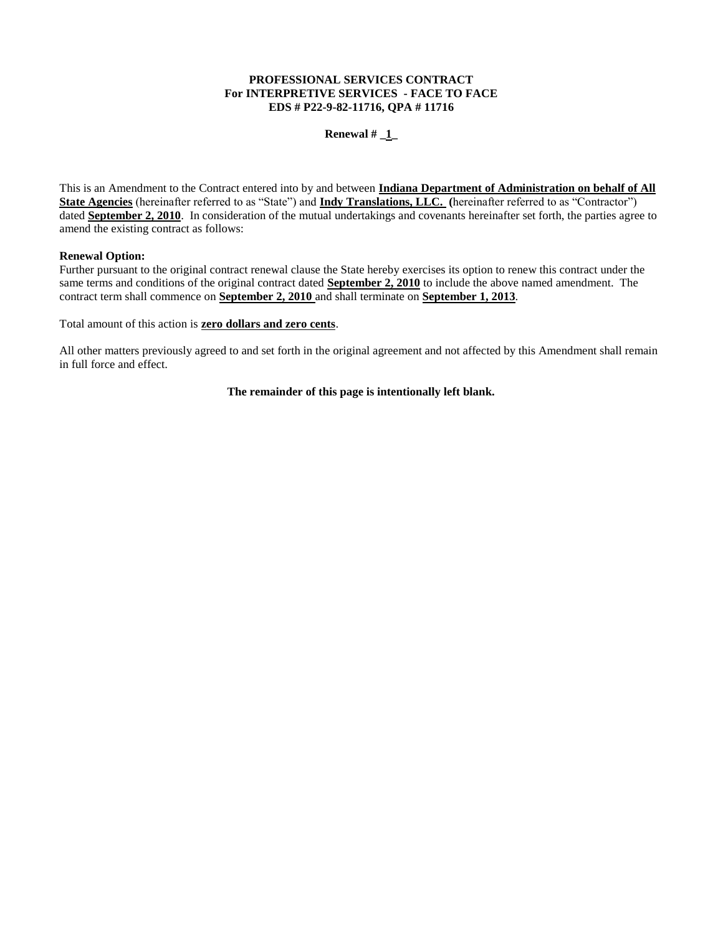# **PROFESSIONAL SERVICES CONTRACT For INTERPRETIVE SERVICES - FACE TO FACE EDS # P22-9-82-11716, QPA # 11716**

## **Renewal # \_1\_**

This is an Amendment to the Contract entered into by and between **Indiana Department of Administration on behalf of All State Agencies** (hereinafter referred to as "State") and **Indy Translations, LLC. (**hereinafter referred to as "Contractor") dated **September 2, 2010**. In consideration of the mutual undertakings and covenants hereinafter set forth, the parties agree to amend the existing contract as follows:

# **Renewal Option:**

Further pursuant to the original contract renewal clause the State hereby exercises its option to renew this contract under the same terms and conditions of the original contract dated **September 2, 2010** to include the above named amendment. The contract term shall commence on **September 2, 2010** and shall terminate on **September 1, 2013**.

Total amount of this action is **zero dollars and zero cents**.

All other matters previously agreed to and set forth in the original agreement and not affected by this Amendment shall remain in full force and effect.

# **The remainder of this page is intentionally left blank.**